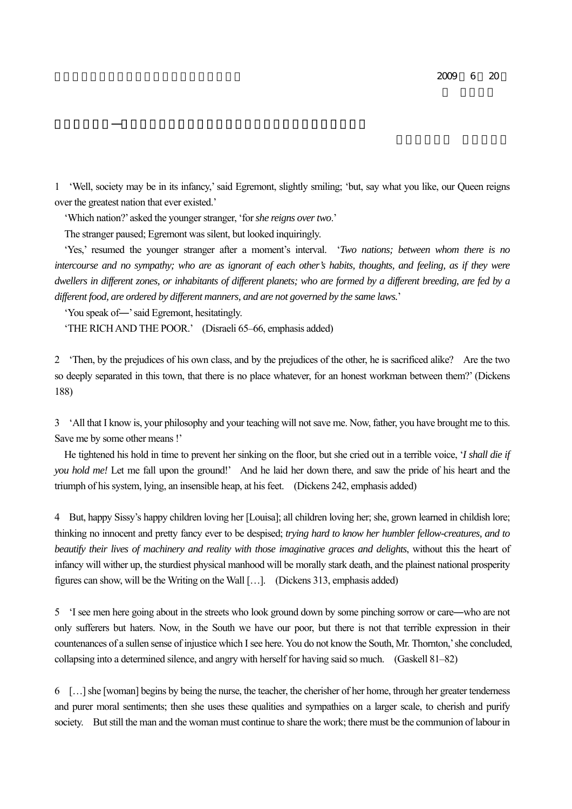1 'Well, society may be in its infancy,' said Egremont, slightly smiling; 'but, say what you like, our Queen reigns over the greatest nation that ever existed.'

'Which nation?' asked the younger stranger, 'for *she reigns over two*.'

The stranger paused; Egremont was silent, but looked inquiringly.

 'Yes,' resumed the younger stranger after a moment's interval. '*Two nations; between whom there is no intercourse and no sympathy; who are as ignorant of each other's habits, thoughts, and feeling, as if they were dwellers in different zones, or inhabitants of different planets; who are formed by a different breeding, are fed by a different food, are ordered by different manners, and are not governed by the same laws.*'

'You speak of―' said Egremont, hesitatingly.

'THE RICH AND THE POOR.' (Disraeli 65–66, emphasis added)

2 'Then, by the prejudices of his own class, and by the prejudices of the other, he is sacrificed alike? Are the two so deeply separated in this town, that there is no place whatever, for an honest workman between them?' (Dickens 188)

3 'All that I know is, your philosophy and your teaching will not save me. Now, father, you have brought me to this. Save me by some other means !'

He tightened his hold in time to prevent her sinking on the floor, but she cried out in a terrible voice, '*I shall die if you hold me!* Let me fall upon the ground!' And he laid her down there, and saw the pride of his heart and the triumph of his system, lying, an insensible heap, at his feet. (Dickens 242, emphasis added)

4 But, happy Sissy's happy children loving her [Louisa]; all children loving her; she, grown learned in childish lore; thinking no innocent and pretty fancy ever to be despised; *trying hard to know her humbler fellow-creatures, and to beautify their lives of machinery and reality with those imaginative graces and delights*, without this the heart of infancy will wither up, the sturdiest physical manhood will be morally stark death, and the plainest national prosperity figures can show, will be the Writing on the Wall […]. (Dickens 313, emphasis added)

5 'I see men here going about in the streets who look ground down by some pinching sorrow or care―who are not only sufferers but haters. Now, in the South we have our poor, but there is not that terrible expression in their countenances of a sullen sense of injustice which I see here. You do not know the South, Mr. Thornton,' she concluded, collapsing into a determined silence, and angry with herself for having said so much. (Gaskell 81–82)

6 […] she [woman] begins by being the nurse, the teacher, the cherisher of her home, through her greater tenderness and purer moral sentiments; then she uses these qualities and sympathies on a larger scale, to cherish and purify society. But still the man and the woman must continue to share the work; there must be the communion of labour in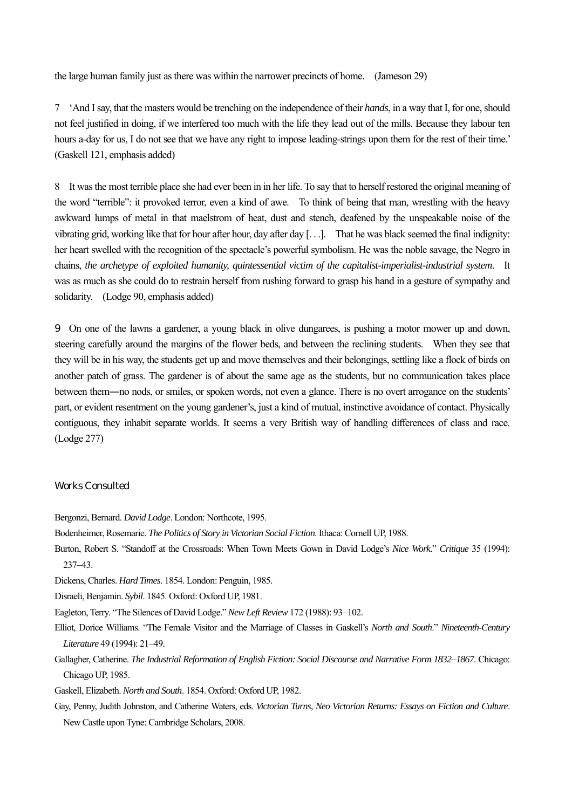the large human family just as there was within the narrower precincts of home. (Jameson 29)

7 'And I say, that the masters would be trenching on the independence of their *hands*, in a way that I, for one, should not feel justified in doing, if we interfered too much with the life they lead out of the mills. Because they labour ten hours a-day for us, I do not see that we have any right to impose leading-strings upon them for the rest of their time.' (Gaskell 121, emphasis added)

8 It was the most terrible place she had ever been in in her life. To say that to herself restored the original meaning of the word "terrible": it provoked terror, even a kind of awe. To think of being that man, wrestling with the heavy awkward lumps of metal in that maelstrom of heat, dust and stench, deafened by the unspeakable noise of the vibrating grid, working like that for hour after hour, day after day [. . .]. That he was black seemed the final indignity: her heart swelled with the recognition of the spectacle's powerful symbolism. He was the noble savage, the Negro in chains, *the archetype of exploited humanity, quintessential victim of the capitalist-imperialist-industrial system*. It was as much as she could do to restrain herself from rushing forward to grasp his hand in a gesture of sympathy and solidarity. (Lodge 90, emphasis added)

9 On one of the lawns a gardener, a young black in olive dungarees, is pushing a motor mower up and down, steering carefully around the margins of the flower beds, and between the reclining students. When they see that they will be in his way, the students get up and move themselves and their belongings, settling like a flock of birds on another patch of grass. The gardener is of about the same age as the students, but no communication takes place between them―no nods, or smiles, or spoken words, not even a glance. There is no overt arrogance on the students' part, or evident resentment on the young gardener's, just a kind of mutual, instinctive avoidance of contact. Physically contiguous, they inhabit separate worlds. It seems a very British way of handling differences of class and race. (Lodge 277)

## Works Consulted

Bergonzi, Bernard. *David Lodge*. London: Northcote, 1995.

Bodenheimer, Rosemarie. *The Politics of Story in Victorian Social Fiction*. Ithaca: Cornell UP, 1988.

Burton, Robert S. "Standoff at the Crossroads: When Town Meets Gown in David Lodge's *Nice Work*." *Critique* 35 (1994): 237–43.

Dickens, Charles. *Hard Times*. 1854. London: Penguin, 1985.

Disraeli, Benjamin. *Sybil*. 1845. Oxford: Oxford UP, 1981.

Eagleton, Terry. "The Silences of David Lodge." *New Left Review* 172 (1988): 93–102.

- Elliot, Dorice Williams. "The Female Visitor and the Marriage of Classes in Gaskell's *North and South*." *Nineteenth-Century Literature* 49 (1994): 21–49.
- Gallagher, Catherine. *The Industrial Reformation of English Fiction: Social Discourse and Narrative Form 1832*–*1867*. Chicago: Chicago UP, 1985.

Gaskell, Elizabeth. *North and South*. 1854. Oxford: Oxford UP, 1982.

Gay, Penny, Judith Johnston, and Catherine Waters, eds. *Victorian Turns, Neo Victorian Returns: Essays on Fiction and Culture*. New Castle upon Tyne: Cambridge Scholars, 2008.